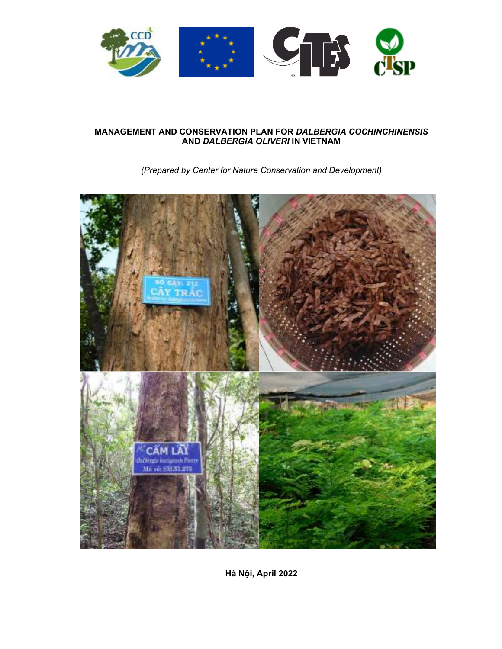

# **MANAGEMENT AND CONSERVATION PLAN FOR** *DALBERGIA COCHINCHINENSIS* **AND** *DALBERGIA OLIVERI* **IN VIETNAM**

*(Prepared by Center for Nature Conservation and Development)* 



**Hà Nội, April 2022**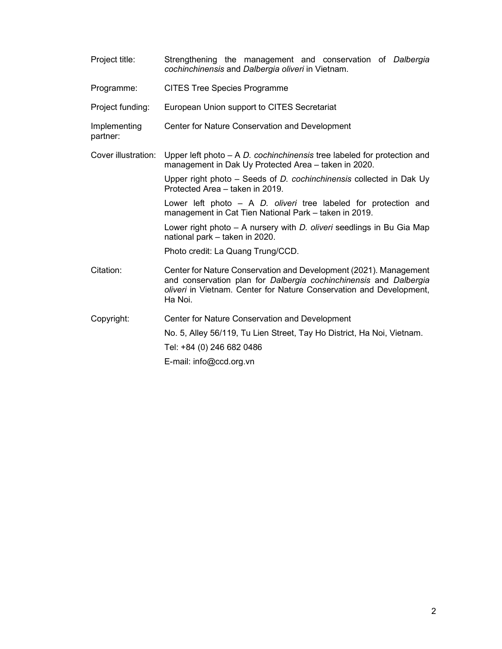| Project title:           | Strengthening the management and conservation of Dalbergia<br>cochinchinensis and Dalbergia oliveri in Vietnam.                                                                                                          |  |  |  |  |  |
|--------------------------|--------------------------------------------------------------------------------------------------------------------------------------------------------------------------------------------------------------------------|--|--|--|--|--|
| Programme:               | <b>CITES Tree Species Programme</b>                                                                                                                                                                                      |  |  |  |  |  |
| Project funding:         | European Union support to CITES Secretariat                                                                                                                                                                              |  |  |  |  |  |
| Implementing<br>partner: | Center for Nature Conservation and Development                                                                                                                                                                           |  |  |  |  |  |
| Cover illustration:      | Upper left photo $- A D$ cochinchinensis tree labeled for protection and<br>management in Dak Uy Protected Area - taken in 2020.                                                                                         |  |  |  |  |  |
|                          | Upper right photo $-$ Seeds of D. cochinchinensis collected in Dak Uy<br>Protected Area - taken in 2019.                                                                                                                 |  |  |  |  |  |
|                          | Lower left photo $-$ A D. oliveri tree labeled for protection and<br>management in Cat Tien National Park - taken in 2019.                                                                                               |  |  |  |  |  |
|                          | Lower right photo - A nursery with <i>D. oliveri</i> seedlings in Bu Gia Map<br>national park - taken in 2020.                                                                                                           |  |  |  |  |  |
|                          | Photo credit: La Quang Trung/CCD.                                                                                                                                                                                        |  |  |  |  |  |
| Citation:                | Center for Nature Conservation and Development (2021). Management<br>and conservation plan for Dalbergia cochinchinensis and Dalbergia<br>oliveri in Vietnam. Center for Nature Conservation and Development,<br>Ha Noi. |  |  |  |  |  |
| Copyright:               | Center for Nature Conservation and Development                                                                                                                                                                           |  |  |  |  |  |
|                          | No. 5, Alley 56/119, Tu Lien Street, Tay Ho District, Ha Noi, Vietnam.                                                                                                                                                   |  |  |  |  |  |
|                          | Tel: +84 (0) 246 682 0486                                                                                                                                                                                                |  |  |  |  |  |
|                          | E-mail: info@ccd.org.vn                                                                                                                                                                                                  |  |  |  |  |  |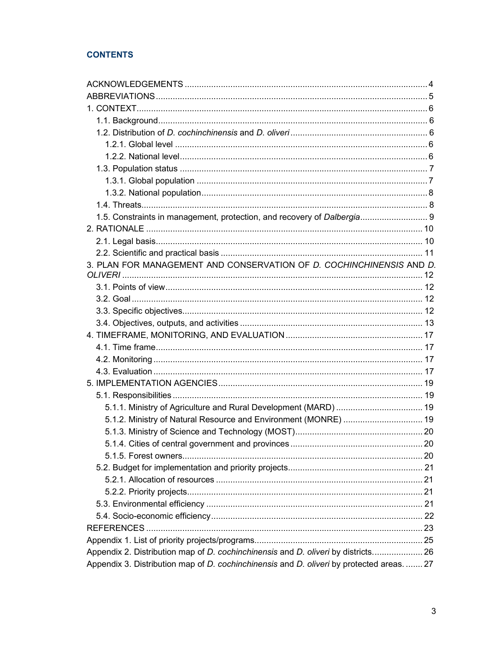# **CONTENTS**

| 1.5. Constraints in management, protection, and recovery of Dalbergia 9                   |  |
|-------------------------------------------------------------------------------------------|--|
|                                                                                           |  |
|                                                                                           |  |
|                                                                                           |  |
| 3. PLAN FOR MANAGEMENT AND CONSERVATION OF D. COCHINCHINENSIS AND D.                      |  |
|                                                                                           |  |
|                                                                                           |  |
|                                                                                           |  |
|                                                                                           |  |
|                                                                                           |  |
|                                                                                           |  |
|                                                                                           |  |
|                                                                                           |  |
|                                                                                           |  |
|                                                                                           |  |
|                                                                                           |  |
| 5.1.1. Ministry of Agriculture and Rural Development (MARD)  19                           |  |
| 5.1.2. Ministry of Natural Resource and Environment (MONRE)  19                           |  |
|                                                                                           |  |
|                                                                                           |  |
|                                                                                           |  |
|                                                                                           |  |
|                                                                                           |  |
|                                                                                           |  |
|                                                                                           |  |
|                                                                                           |  |
|                                                                                           |  |
|                                                                                           |  |
| Appendix 2. Distribution map of D. cochinchinensis and D. oliveri by districts 26         |  |
| Appendix 3. Distribution map of D. cochinchinensis and D. oliveri by protected areas.  27 |  |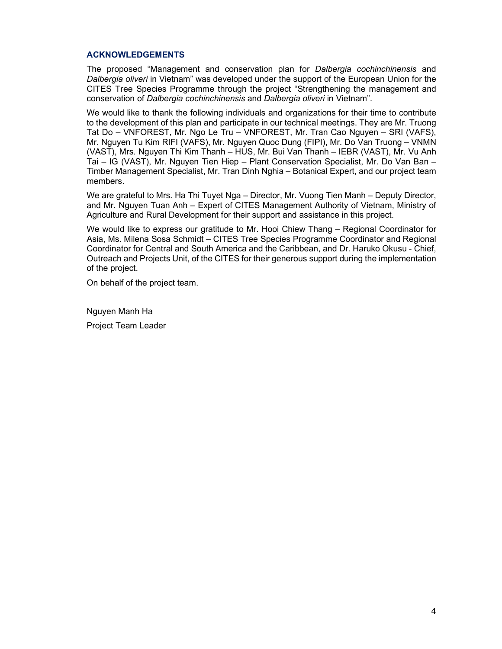#### **ACKNOWLEDGEMENTS**

The proposed "Management and conservation plan for *Dalbergia cochinchinensis* and *Dalbergia oliveri* in Vietnam" was developed under the support of the European Union for the CITES Tree Species Programme through the project "Strengthening the management and conservation of *Dalbergia cochinchinensis* and *Dalbergia oliveri* in Vietnam".

We would like to thank the following individuals and organizations for their time to contribute to the development of this plan and participate in our technical meetings. They are Mr. Truong Tat Do – VNFOREST, Mr. Ngo Le Tru – VNFOREST, Mr. Tran Cao Nguyen – SRI (VAFS), Mr. Nguyen Tu Kim RIFI (VAFS), Mr. Nguyen Quoc Dung (FIPI), Mr. Do Van Truong – VNMN (VAST), Mrs. Nguyen Thi Kim Thanh – HUS, Mr. Bui Van Thanh – IEBR (VAST), Mr. Vu Anh Tai – IG (VAST), Mr. Nguyen Tien Hiep – Plant Conservation Specialist, Mr. Do Van Ban – Timber Management Specialist, Mr. Tran Dinh Nghia – Botanical Expert, and our project team members.

We are grateful to Mrs. Ha Thi Tuyet Nga – Director, Mr. Vuong Tien Manh – Deputy Director, and Mr. Nguyen Tuan Anh – Expert of CITES Management Authority of Vietnam, Ministry of Agriculture and Rural Development for their support and assistance in this project.

We would like to express our gratitude to Mr. Hooi Chiew Thang – Regional Coordinator for Asia, Ms. Milena Sosa Schmidt – CITES Tree Species Programme Coordinator and Regional Coordinator for Central and South America and the Caribbean, and Dr. Haruko Okusu - Chief, Outreach and Projects Unit, of the CITES for their generous support during the implementation of the project.

On behalf of the project team.

Nguyen Manh Ha

Project Team Leader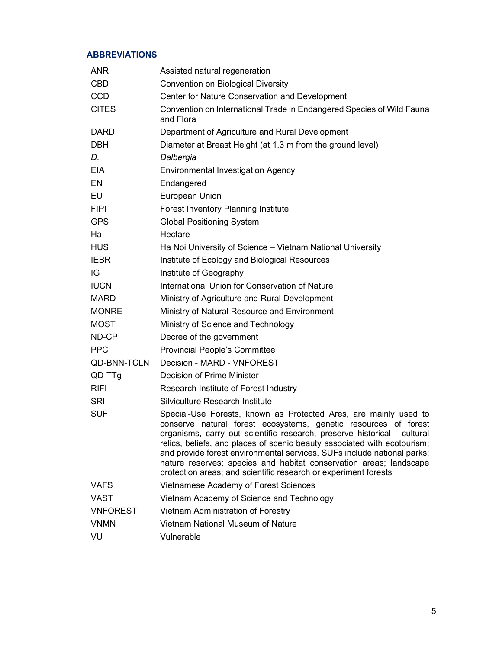# **ABBREVIATIONS**

| <b>ANR</b>         | Assisted natural regeneration                                                                                                                                                                                                                                                                                                                                                                                                                                                                                   |
|--------------------|-----------------------------------------------------------------------------------------------------------------------------------------------------------------------------------------------------------------------------------------------------------------------------------------------------------------------------------------------------------------------------------------------------------------------------------------------------------------------------------------------------------------|
| <b>CBD</b>         | <b>Convention on Biological Diversity</b>                                                                                                                                                                                                                                                                                                                                                                                                                                                                       |
| <b>CCD</b>         | Center for Nature Conservation and Development                                                                                                                                                                                                                                                                                                                                                                                                                                                                  |
| <b>CITES</b>       | Convention on International Trade in Endangered Species of Wild Fauna<br>and Flora                                                                                                                                                                                                                                                                                                                                                                                                                              |
| <b>DARD</b>        | Department of Agriculture and Rural Development                                                                                                                                                                                                                                                                                                                                                                                                                                                                 |
| <b>DBH</b>         | Diameter at Breast Height (at 1.3 m from the ground level)                                                                                                                                                                                                                                                                                                                                                                                                                                                      |
| D.                 | Dalbergia                                                                                                                                                                                                                                                                                                                                                                                                                                                                                                       |
| <b>EIA</b>         | <b>Environmental Investigation Agency</b>                                                                                                                                                                                                                                                                                                                                                                                                                                                                       |
| EN                 | Endangered                                                                                                                                                                                                                                                                                                                                                                                                                                                                                                      |
| EU                 | European Union                                                                                                                                                                                                                                                                                                                                                                                                                                                                                                  |
| <b>FIPI</b>        | Forest Inventory Planning Institute                                                                                                                                                                                                                                                                                                                                                                                                                                                                             |
| <b>GPS</b>         | <b>Global Positioning System</b>                                                                                                                                                                                                                                                                                                                                                                                                                                                                                |
| Ha                 | Hectare                                                                                                                                                                                                                                                                                                                                                                                                                                                                                                         |
| <b>HUS</b>         | Ha Noi University of Science - Vietnam National University                                                                                                                                                                                                                                                                                                                                                                                                                                                      |
| <b>IEBR</b>        | Institute of Ecology and Biological Resources                                                                                                                                                                                                                                                                                                                                                                                                                                                                   |
| IG                 | Institute of Geography                                                                                                                                                                                                                                                                                                                                                                                                                                                                                          |
| <b>IUCN</b>        | International Union for Conservation of Nature                                                                                                                                                                                                                                                                                                                                                                                                                                                                  |
| <b>MARD</b>        | Ministry of Agriculture and Rural Development                                                                                                                                                                                                                                                                                                                                                                                                                                                                   |
| <b>MONRE</b>       | Ministry of Natural Resource and Environment                                                                                                                                                                                                                                                                                                                                                                                                                                                                    |
| <b>MOST</b>        | Ministry of Science and Technology                                                                                                                                                                                                                                                                                                                                                                                                                                                                              |
| ND-CP              | Decree of the government                                                                                                                                                                                                                                                                                                                                                                                                                                                                                        |
| <b>PPC</b>         | <b>Provincial People's Committee</b>                                                                                                                                                                                                                                                                                                                                                                                                                                                                            |
| <b>QD-BNN-TCLN</b> | Decision - MARD - VNFOREST                                                                                                                                                                                                                                                                                                                                                                                                                                                                                      |
| QD-TTg             | Decision of Prime Minister                                                                                                                                                                                                                                                                                                                                                                                                                                                                                      |
| <b>RIFI</b>        | Research Institute of Forest Industry                                                                                                                                                                                                                                                                                                                                                                                                                                                                           |
| SRI                | Silviculture Research Institute                                                                                                                                                                                                                                                                                                                                                                                                                                                                                 |
| <b>SUF</b>         | Special-Use Forests, known as Protected Ares, are mainly used to<br>conserve natural forest ecosystems, genetic resources of forest<br>organisms, carry out scientific research, preserve historical - cultural<br>relics, beliefs, and places of scenic beauty associated with ecotourism;<br>and provide forest environmental services. SUFs include national parks;<br>nature reserves; species and habitat conservation areas; landscape<br>protection areas; and scientific research or experiment forests |
| <b>VAFS</b>        | Vietnamese Academy of Forest Sciences                                                                                                                                                                                                                                                                                                                                                                                                                                                                           |
| VAST               | Vietnam Academy of Science and Technology                                                                                                                                                                                                                                                                                                                                                                                                                                                                       |
| <b>VNFOREST</b>    | Vietnam Administration of Forestry                                                                                                                                                                                                                                                                                                                                                                                                                                                                              |
| <b>VNMN</b>        | Vietnam National Museum of Nature                                                                                                                                                                                                                                                                                                                                                                                                                                                                               |
| VU                 | Vulnerable                                                                                                                                                                                                                                                                                                                                                                                                                                                                                                      |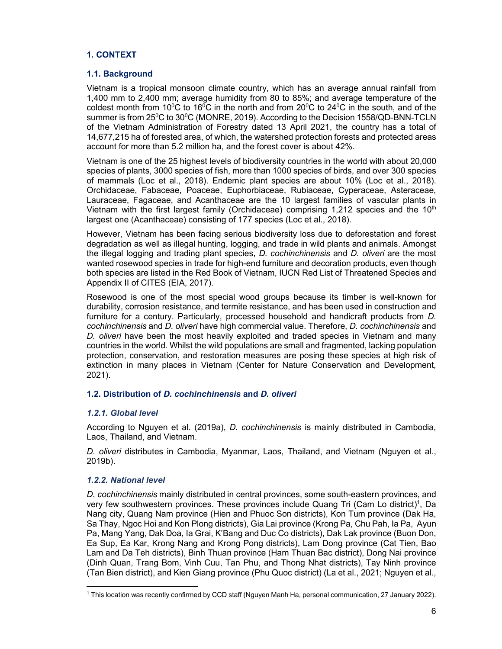# **1. CONTEXT**

#### **1.1. Background**

Vietnam is a tropical monsoon climate country, which has an average annual rainfall from 1,400 mm to 2,400 mm; average humidity from 80 to 85%; and average temperature of the coldest month from 10<sup>o</sup>C to 16<sup>o</sup>C in the north and from 20<sup>o</sup>C to 24<sup>o</sup>C in the south, and of the summer is from 25<sup>0</sup>C to 30<sup>0</sup>C (MONRE, 2019). According to the Decision 1558/QD-BNN-TCLN of the Vietnam Administration of Forestry dated 13 April 2021, the country has a total of 14,677,215 ha of forested area, of which, the watershed protection forests and protected areas account for more than 5.2 million ha, and the forest cover is about 42%.

Vietnam is one of the 25 highest levels of biodiversity countries in the world with about 20,000 species of plants, 3000 species of fish, more than 1000 species of birds, and over 300 species of mammals (Loc et al., 2018). Endemic plant species are about 10% (Loc et al., 2018). Orchidaceae, Fabaceae, Poaceae, Euphorbiaceae, Rubiaceae, Cyperaceae, Asteraceae, Lauraceae, Fagaceae, and Acanthaceae are the 10 largest families of vascular plants in Vietnam with the first largest family (Orchidaceae) comprising 1,212 species and the  $10<sup>th</sup>$ largest one (Acanthaceae) consisting of 177 species (Loc et al., 2018).

However, Vietnam has been facing serious biodiversity loss due to deforestation and forest degradation as well as illegal hunting, logging, and trade in wild plants and animals. Amongst the illegal logging and trading plant species, *D. cochinchinensis* and *D. oliveri* are the most wanted rosewood species in trade for high-end furniture and decoration products, even though both species are listed in the Red Book of Vietnam, IUCN Red List of Threatened Species and Appendix II of CITES (EIA, 2017).

Rosewood is one of the most special wood groups because its timber is well-known for durability, corrosion resistance, and termite resistance, and has been used in construction and furniture for a century. Particularly, processed household and handicraft products from *D. cochinchinensis* and *D. oliveri* have high commercial value. Therefore, *D. cochinchinensis* and *D. oliveri* have been the most heavily exploited and traded species in Vietnam and many countries in the world. Whilst the wild populations are small and fragmented, lacking population protection, conservation, and restoration measures are posing these species at high risk of extinction in many places in Vietnam (Center for Nature Conservation and Development, 2021).

## **1.2. Distribution of** *D. cochinchinensis* **and** *D. oliveri*

## *1.2.1. Global level*

According to Nguyen et al. (2019a), *D. cochinchinensis* is mainly distributed in Cambodia, Laos, Thailand, and Vietnam.

*D. oliveri* distributes in Cambodia, Myanmar, Laos, Thailand, and Vietnam (Nguyen et al., 2019b).

#### *1.2.2. National level*

*D. cochinchinensis* mainly distributed in central provinces, some south-eastern provinces, and very few southwestern provinces. These provinces include Quang Tri (Cam Lo district)<sup>1</sup>, Da Nang city, Quang Nam province (Hien and Phuoc Son districts), Kon Tum province (Dak Ha, Sa Thay, Ngoc Hoi and Kon Plong districts), Gia Lai province (Krong Pa, Chu Pah, Ia Pa, Ayun Pa, Mang Yang, Dak Doa, Ia Grai, K'Bang and Duc Co districts), Dak Lak province (Buon Don, Ea Sup, Ea Kar, Krong Nang and Krong Pong districts), Lam Dong province (Cat Tien, Bao Lam and Da Teh districts), Binh Thuan province (Ham Thuan Bac district), Dong Nai province (Dinh Quan, Trang Bom, Vinh Cuu, Tan Phu, and Thong Nhat districts), Tay Ninh province (Tan Bien district), and Kien Giang province (Phu Quoc district) (La et al., 2021; Nguyen et al.,

<sup>1</sup> This location was recently confirmed by CCD staff (Nguyen Manh Ha, personal communication, 27 January 2022).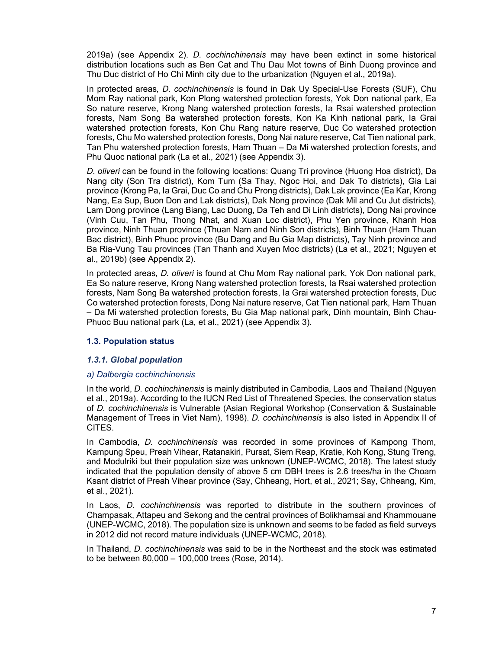2019a) (see Appendix 2). *D. cochinchinensis* may have been extinct in some historical distribution locations such as Ben Cat and Thu Dau Mot towns of Binh Duong province and Thu Duc district of Ho Chi Minh city due to the urbanization (Nguyen et al., 2019a).

In protected areas*, D. cochinchinensis* is found in Dak Uy Special-Use Forests (SUF), Chu Mom Ray national park, Kon Plong watershed protection forests, Yok Don national park, Ea So nature reserve, Krong Nang watershed protection forests, Ia Rsai watershed protection forests, Nam Song Ba watershed protection forests, Kon Ka Kinh national park, Ia Grai watershed protection forests, Kon Chu Rang nature reserve, Duc Co watershed protection forests, Chu Mo watershed protection forests, Dong Nai nature reserve, Cat Tien national park, Tan Phu watershed protection forests, Ham Thuan – Da Mi watershed protection forests, and Phu Quoc national park (La et al., 2021) (see Appendix 3).

*D. oliveri* can be found in the following locations: Quang Tri province (Huong Hoa district), Da Nang city (Son Tra district), Kom Tum (Sa Thay, Ngoc Hoi, and Dak To districts), Gia Lai province (Krong Pa, Ia Grai, Duc Co and Chu Prong districts), Dak Lak province (Ea Kar, Krong Nang, Ea Sup, Buon Don and Lak districts), Dak Nong province (Dak Mil and Cu Jut districts), Lam Dong province (Lang Biang, Lac Duong, Da Teh and Di Linh districts), Dong Nai province (Vinh Cuu, Tan Phu, Thong Nhat, and Xuan Loc district), Phu Yen province, Khanh Hoa province, Ninh Thuan province (Thuan Nam and Ninh Son districts), Binh Thuan (Ham Thuan Bac district), Binh Phuoc province (Bu Dang and Bu Gia Map districts), Tay Ninh province and Ba Ria-Vung Tau provinces (Tan Thanh and Xuyen Moc districts) (La et al., 2021; Nguyen et al., 2019b) (see Appendix 2).

In protected areas*, D. oliveri* is found at Chu Mom Ray national park, Yok Don national park, Ea So nature reserve, Krong Nang watershed protection forests, Ia Rsai watershed protection forests, Nam Song Ba watershed protection forests, Ia Grai watershed protection forests, Duc Co watershed protection forests, Dong Nai nature reserve, Cat Tien national park, Ham Thuan – Da Mi watershed protection forests, Bu Gia Map national park, Dinh mountain, Binh Chau-Phuoc Buu national park (La, et al., 2021) (see Appendix 3).

## **1.3. Population status**

#### *1.3.1. Global population*

#### *a) Dalbergia cochinchinensis*

In the world, *D. cochinchinensis* is mainly distributed in Cambodia, Laos and Thailand (Nguyen et al., 2019a). According to the IUCN Red List of Threatened Species, the conservation status of *D. cochinchinensis* is Vulnerable (Asian Regional Workshop (Conservation & Sustainable Management of Trees in Viet Nam), 1998). *D. cochinchinensis* is also listed in Appendix II of CITES.

In Cambodia, *D. cochinchinensis* was recorded in some provinces of Kampong Thom, Kampung Speu, Preah Vihear, Ratanakiri, Pursat, Siem Reap, Kratie, Koh Kong, Stung Treng, and Modulriki but their population size was unknown (UNEP-WCMC, 2018). The latest study indicated that the population density of above 5 cm DBH trees is 2.6 trees/ha in the Choam Ksant district of Preah Vihear province (Say, Chheang, Hort, et al., 2021; Say, Chheang, Kim, et al., 2021).

In Laos, *D. cochinchinensis* was reported to distribute in the southern provinces of Champasak, Attapeu and Sekong and the central provinces of Bolikhamsai and Khammouane (UNEP-WCMC, 2018). The population size is unknown and seems to be faded as field surveys in 2012 did not record mature individuals (UNEP-WCMC, 2018).

In Thailand, *D. cochinchinensis* was said to be in the Northeast and the stock was estimated to be between 80,000 – 100,000 trees (Rose, 2014).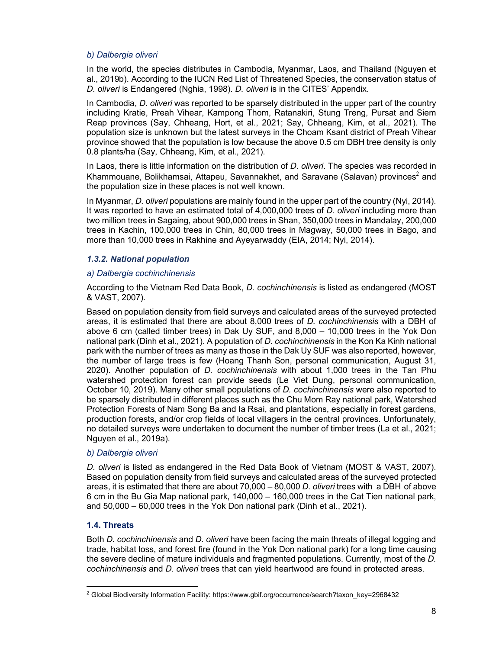#### *b) Dalbergia oliveri*

In the world, the species distributes in Cambodia, Myanmar, Laos, and Thailand (Nguyen et al., 2019b). According to the IUCN Red List of Threatened Species, the conservation status of *D. oliveri* is Endangered (Nghia, 1998). *D. oliveri* is in the CITES' Appendix.

In Cambodia, *D. oliveri* was reported to be sparsely distributed in the upper part of the country including Kratie, Preah Vihear, Kampong Thom, Ratanakiri, Stung Treng, Pursat and Siem Reap provinces (Say, Chheang, Hort, et al., 2021; Say, Chheang, Kim, et al., 2021). The population size is unknown but the latest surveys in the Choam Ksant district of Preah Vihear province showed that the population is low because the above 0.5 cm DBH tree density is only 0.8 plants/ha (Say, Chheang, Kim, et al., 2021).

In Laos, there is little information on the distribution of *D. oliveri*. The species was recorded in Khammouane, Bolikhamsai, Attapeu, Savannakhet, and Saravane (Salavan) provinces $^2$  and the population size in these places is not well known.

In Myanmar, *D. oliveri* populations are mainly found in the upper part of the country (Nyi, 2014). It was reported to have an estimated total of 4,000,000 trees of *D. oliveri* including more than two million trees in Sagaing, about 900,000 trees in Shan, 350,000 trees in Mandalay, 200,000 trees in Kachin, 100,000 trees in Chin, 80,000 trees in Magway, 50,000 trees in Bago, and more than 10,000 trees in Rakhine and Ayeyarwaddy (EIA, 2014; Nyi, 2014).

## *1.3.2. National population*

## *a) Dalbergia cochinchinensis*

According to the Vietnam Red Data Book, *D. cochinchinensis* is listed as endangered (MOST & VAST, 2007).

Based on population density from field surveys and calculated areas of the surveyed protected areas, it is estimated that there are about 8,000 trees of *D. cochinchinensis* with a DBH of above 6 cm (called timber trees) in Dak Uy SUF, and 8,000 – 10,000 trees in the Yok Don national park (Dinh et al., 2021). A population of *D. cochinchinensis* in the Kon Ka Kinh national park with the number of trees as many as those in the Dak Uy SUF was also reported, however, the number of large trees is few (Hoang Thanh Son, personal communication, August 31, 2020). Another population of *D. cochinchinensis* with about 1,000 trees in the Tan Phu watershed protection forest can provide seeds (Le Viet Dung, personal communication, October 10, 2019). Many other small populations of *D. cochinchinensis* were also reported to be sparsely distributed in different places such as the Chu Mom Ray national park, Watershed Protection Forests of Nam Song Ba and Ia Rsai, and plantations, especially in forest gardens, production forests, and/or crop fields of local villagers in the central provinces. Unfortunately, no detailed surveys were undertaken to document the number of timber trees (La et al., 2021; Nguyen et al., 2019a).

#### *b) Dalbergia oliveri*

*D. oliveri* is listed as endangered in the Red Data Book of Vietnam (MOST & VAST, 2007). Based on population density from field surveys and calculated areas of the surveyed protected areas, it is estimated that there are about 70,000 – 80,000 *D. oliveri* trees with a DBH of above 6 cm in the Bu Gia Map national park, 140,000 – 160,000 trees in the Cat Tien national park, and  $50.000 - 60.000$  trees in the Yok Don national park (Dinh et al., 2021).

## **1.4. Threats**

Both *D. cochinchinensis* and *D. oliveri* have been facing the main threats of illegal logging and trade, habitat loss, and forest fire (found in the Yok Don national park) for a long time causing the severe decline of mature individuals and fragmented populations. Currently, most of the *D. cochinchinensis* and *D. oliveri* trees that can yield heartwood are found in protected areas.

<sup>2</sup> Global Biodiversity Information Facility: https://www.gbif.org/occurrence/search?taxon\_key=2968432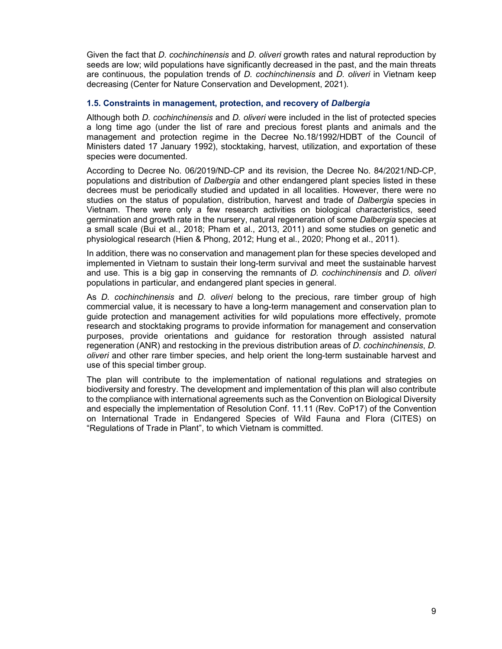Given the fact that *D. cochinchinensis* and *D. oliveri* growth rates and natural reproduction by seeds are low; wild populations have significantly decreased in the past, and the main threats are continuous, the population trends of *D. cochinchinensis* and *D. oliveri* in Vietnam keep decreasing (Center for Nature Conservation and Development, 2021).

#### **1.5. Constraints in management, protection, and recovery of** *Dalbergia*

Although both *D. cochinchinensis* and *D. oliveri* were included in the list of protected species a long time ago (under the list of rare and precious forest plants and animals and the management and protection regime in the Decree No.18/1992/HDBT of the Council of Ministers dated 17 January 1992), stocktaking, harvest, utilization, and exportation of these species were documented.

According to Decree No. 06/2019/ND-CP and its revision, the Decree No. 84/2021/ND-CP, populations and distribution of *Dalbergia* and other endangered plant species listed in these decrees must be periodically studied and updated in all localities. However, there were no studies on the status of population, distribution, harvest and trade of *Dalbergia* species in Vietnam. There were only a few research activities on biological characteristics, seed germination and growth rate in the nursery, natural regeneration of some *Dalbergia* species at a small scale (Bui et al., 2018; Pham et al., 2013, 2011) and some studies on genetic and physiological research (Hien & Phong, 2012; Hung et al., 2020; Phong et al., 2011).

In addition, there was no conservation and management plan for these species developed and implemented in Vietnam to sustain their long-term survival and meet the sustainable harvest and use. This is a big gap in conserving the remnants of *D. cochinchinensis* and *D. oliveri*  populations in particular, and endangered plant species in general.

As *D. cochinchinensis* and *D. oliveri* belong to the precious, rare timber group of high commercial value, it is necessary to have a long-term management and conservation plan to guide protection and management activities for wild populations more effectively, promote research and stocktaking programs to provide information for management and conservation purposes, provide orientations and guidance for restoration through assisted natural regeneration (ANR) and restocking in the previous distribution areas of *D. cochinchinensis*, *D. oliveri* and other rare timber species, and help orient the long-term sustainable harvest and use of this special timber group.

The plan will contribute to the implementation of national regulations and strategies on biodiversity and forestry. The development and implementation of this plan will also contribute to the compliance with international agreements such as the Convention on Biological Diversity and especially the implementation of Resolution Conf. 11.11 (Rev. CoP17) of the Convention on International Trade in Endangered Species of Wild Fauna and Flora (CITES) on "Regulations of Trade in Plant", to which Vietnam is committed.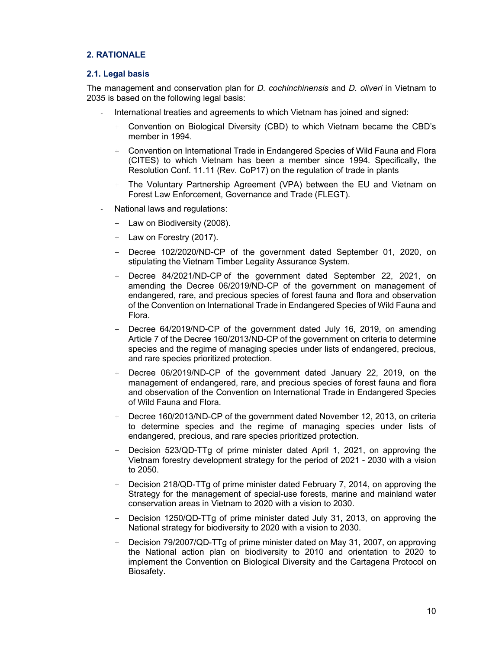## **2. RATIONALE**

#### **2.1. Legal basis**

The management and conservation plan for *D. cochinchinensis* and *D. oliveri* in Vietnam to 2035 is based on the following legal basis:

- International treaties and agreements to which Vietnam has joined and signed:
	- + Convention on Biological Diversity (CBD) to which Vietnam became the CBD's member in 1994.
	- + Convention on International Trade in Endangered Species of Wild Fauna and Flora (CITES) to which Vietnam has been a member since 1994. Specifically, the Resolution Conf. 11.11 (Rev. CoP17) on the regulation of trade in plants
	- + The Voluntary Partnership Agreement (VPA) between the EU and Vietnam on Forest Law Enforcement, Governance and Trade (FLEGT).
- National laws and regulations:
	- + Law on Biodiversity (2008).
	- + Law on Forestry (2017).
	- + Decree 102/2020/ND-CP of the government dated September 01, 2020, on stipulating the Vietnam Timber Legality Assurance System.
	- + Decree 84/2021/ND-CP of the government dated September 22, 2021, on amending the Decree 06/2019/ND-CP of the government on management of endangered, rare, and precious species of forest fauna and flora and observation of the Convention on International Trade in Endangered Species of Wild Fauna and Flora.
	- + Decree 64/2019/ND-CP of the government dated July 16, 2019, on amending Article 7 of the Decree 160/2013/ND-CP of the government on criteria to determine species and the regime of managing species under lists of endangered, precious, and rare species prioritized protection.
	- + Decree 06/2019/ND-CP of the government dated January 22, 2019, on the management of endangered, rare, and precious species of forest fauna and flora and observation of the Convention on International Trade in Endangered Species of Wild Fauna and Flora.
	- + Decree 160/2013/ND-CP of the government dated November 12, 2013, on criteria to determine species and the regime of managing species under lists of endangered, precious, and rare species prioritized protection.
	- + Decision 523/QD-TTg of prime minister dated April 1, 2021, on approving the Vietnam forestry development strategy for the period of 2021 - 2030 with a vision to 2050.
	- + Decision 218/QD-TTg of prime minister dated February 7, 2014, on approving the Strategy for the management of special-use forests, marine and mainland water conservation areas in Vietnam to 2020 with a vision to 2030.
	- + Decision 1250/QD-TTg of prime minister dated July 31, 2013, on approving the National strategy for biodiversity to 2020 with a vision to 2030.
	- + Decision 79/2007/QD-TTg of prime minister dated on May 31, 2007, on approving the National action plan on biodiversity to 2010 and orientation to 2020 to implement the Convention on Biological Diversity and the Cartagena Protocol on Biosafety.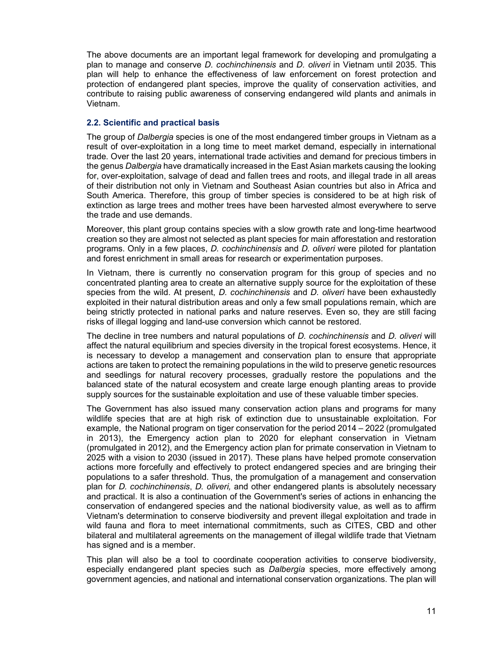The above documents are an important legal framework for developing and promulgating a plan to manage and conserve *D. cochinchinensis* and *D. oliveri* in Vietnam until 2035. This plan will help to enhance the effectiveness of law enforcement on forest protection and protection of endangered plant species, improve the quality of conservation activities, and contribute to raising public awareness of conserving endangered wild plants and animals in Vietnam.

# **2.2. Scientific and practical basis**

The group of *Dalbergia* species is one of the most endangered timber groups in Vietnam as a result of over-exploitation in a long time to meet market demand, especially in international trade. Over the last 20 years, international trade activities and demand for precious timbers in the genus *Dalbergia* have dramatically increased in the East Asian markets causing the looking for, over-exploitation, salvage of dead and fallen trees and roots, and illegal trade in all areas of their distribution not only in Vietnam and Southeast Asian countries but also in Africa and South America. Therefore, this group of timber species is considered to be at high risk of extinction as large trees and mother trees have been harvested almost everywhere to serve the trade and use demands.

Moreover, this plant group contains species with a slow growth rate and long-time heartwood creation so they are almost not selected as plant species for main afforestation and restoration programs. Only in a few places, *D. cochinchinensis* and *D. oliveri* were piloted for plantation and forest enrichment in small areas for research or experimentation purposes.

In Vietnam, there is currently no conservation program for this group of species and no concentrated planting area to create an alternative supply source for the exploitation of these species from the wild. At present, *D. cochinchinensis* and *D. oliveri* have been exhaustedly exploited in their natural distribution areas and only a few small populations remain, which are being strictly protected in national parks and nature reserves. Even so, they are still facing risks of illegal logging and land-use conversion which cannot be restored.

The decline in tree numbers and natural populations of *D. cochinchinensis* and *D. oliveri* will affect the natural equilibrium and species diversity in the tropical forest ecosystems. Hence, it is necessary to develop a management and conservation plan to ensure that appropriate actions are taken to protect the remaining populations in the wild to preserve genetic resources and seedlings for natural recovery processes, gradually restore the populations and the balanced state of the natural ecosystem and create large enough planting areas to provide supply sources for the sustainable exploitation and use of these valuable timber species.

The Government has also issued many conservation action plans and programs for many wildlife species that are at high risk of extinction due to unsustainable exploitation. For example, the National program on tiger conservation for the period 2014 – 2022 (promulgated in 2013), the Emergency action plan to 2020 for elephant conservation in Vietnam (promulgated in 2012), and the Emergency action plan for primate conservation in Vietnam to 2025 with a vision to 2030 (issued in 2017). These plans have helped promote conservation actions more forcefully and effectively to protect endangered species and are bringing their populations to a safer threshold. Thus, the promulgation of a management and conservation plan for *D. cochinchinensis*, *D. oliveri,* and other endangered plants is absolutely necessary and practical. It is also a continuation of the Government's series of actions in enhancing the conservation of endangered species and the national biodiversity value, as well as to affirm Vietnam's determination to conserve biodiversity and prevent illegal exploitation and trade in wild fauna and flora to meet international commitments, such as CITES, CBD and other bilateral and multilateral agreements on the management of illegal wildlife trade that Vietnam has signed and is a member.

This plan will also be a tool to coordinate cooperation activities to conserve biodiversity, especially endangered plant species such as *Dalbergia* species, more effectively among government agencies, and national and international conservation organizations. The plan will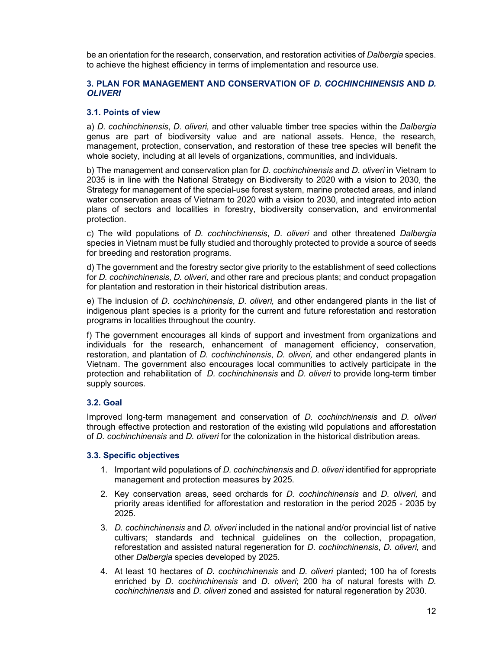be an orientation for the research, conservation, and restoration activities of *Dalbergia* species. to achieve the highest efficiency in terms of implementation and resource use.

#### **3. PLAN FOR MANAGEMENT AND CONSERVATION OF** *D. COCHINCHINENSIS* **AND** *D. OLIVERI*

#### **3.1. Points of view**

a) *D. cochinchinensis*, *D. oliveri,* and other valuable timber tree species within the *Dalbergia*  genus are part of biodiversity value and are national assets. Hence, the research, management, protection, conservation, and restoration of these tree species will benefit the whole society, including at all levels of organizations, communities, and individuals.

b) The management and conservation plan for *D. cochinchinensis* and *D. oliveri* in Vietnam to 2035 is in line with the National Strategy on Biodiversity to 2020 with a vision to 2030, the Strategy for management of the special-use forest system, marine protected areas, and inland water conservation areas of Vietnam to 2020 with a vision to 2030, and integrated into action plans of sectors and localities in forestry, biodiversity conservation, and environmental protection.

c) The wild populations of *D. cochinchinensis*, *D. oliveri* and other threatened *Dalbergia* species in Vietnam must be fully studied and thoroughly protected to provide a source of seeds for breeding and restoration programs.

d) The government and the forestry sector give priority to the establishment of seed collections for *D. cochinchinensis*, *D. oliveri,* and other rare and precious plants; and conduct propagation for plantation and restoration in their historical distribution areas.

e) The inclusion of *D. cochinchinensis*, *D. oliveri,* and other endangered plants in the list of indigenous plant species is a priority for the current and future reforestation and restoration programs in localities throughout the country.

f) The government encourages all kinds of support and investment from organizations and individuals for the research, enhancement of management efficiency, conservation, restoration, and plantation of *D. cochinchinensis*, *D. oliveri,* and other endangered plants in Vietnam. The government also encourages local communities to actively participate in the protection and rehabilitation of *D. cochinchinensis* and *D. oliveri* to provide long-term timber supply sources.

## **3.2. Goal**

Improved long-term management and conservation of *D. cochinchinensis* and *D. oliveri*  through effective protection and restoration of the existing wild populations and afforestation of *D. cochinchinensis* and *D. oliveri* for the colonization in the historical distribution areas.

#### **3.3. Specific objectives**

- 1. Important wild populations of *D. cochinchinensis* and *D. oliveri* identified for appropriate management and protection measures by 2025.
- 2. Key conservation areas, seed orchards for *D. cochinchinensis* and *D. oliveri,* and priority areas identified for afforestation and restoration in the period 2025 - 2035 by 2025.
- 3. *D. cochinchinensis* and *D. oliveri* included in the national and/or provincial list of native cultivars; standards and technical guidelines on the collection, propagation, reforestation and assisted natural regeneration for *D. cochinchinensis*, *D. oliveri,* and other *Dalbergia* species developed by 2025.
- 4. At least 10 hectares of *D. cochinchinensis* and *D. oliveri* planted; 100 ha of forests enriched by *D. cochinchinensis* and *D. oliveri*; 200 ha of natural forests with *D. cochinchinensis* and *D. oliveri* zoned and assisted for natural regeneration by 2030.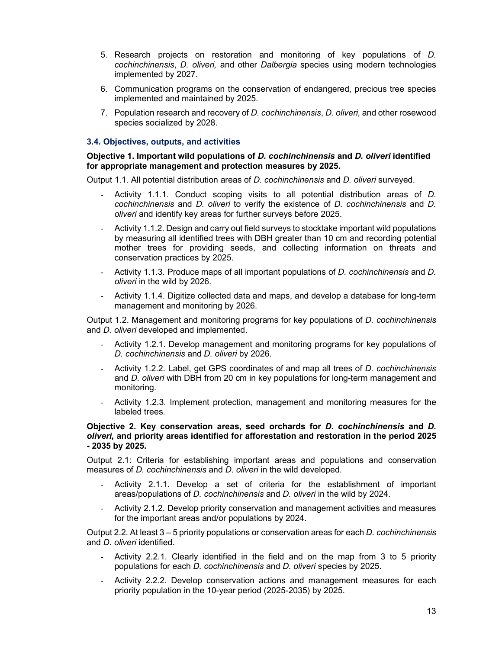- 5. Research projects on restoration and monitoring of key populations of *D. cochinchinensis*, *D. oliveri,* and other *Dalbergia* species using modern technologies implemented by 2027.
- 6. Communication programs on the conservation of endangered, precious tree species implemented and maintained by 2025.
- 7. Population research and recovery of *D. cochinchinensis*, *D. oliveri,* and other rosewood species socialized by 2028.

## **3.4. Objectives, outputs, and activities**

## **Objective 1. Important wild populations of** *D. cochinchinensis* **and** *D. oliveri* **identified for appropriate management and protection measures by 2025.**

Output 1.1. All potential distribution areas of *D. cochinchinensis* and *D. oliveri* surveyed.

- Activity 1.1.1. Conduct scoping visits to all potential distribution areas of *D. cochinchinensis* and *D. oliveri* to verify the existence of *D. cochinchinensis* and *D. oliveri* and identify key areas for further surveys before 2025.
- Activity 1.1.2. Design and carry out field surveys to stocktake important wild populations by measuring all identified trees with DBH greater than 10 cm and recording potential mother trees for providing seeds, and collecting information on threats and conservation practices by 2025.
- Activity 1.1.3. Produce maps of all important populations of *D. cochinchinensis* and *D. oliveri* in the wild by 2026.
- Activity 1.1.4. Digitize collected data and maps, and develop a database for long-term management and monitoring by 2026.

Output 1.2. Management and monitoring programs for key populations of *D. cochinchinensis* and *D. oliveri* developed and implemented.

- Activity 1.2.1. Develop management and monitoring programs for key populations of *D. cochinchinensis* and *D. oliveri* by 2026.
- Activity 1.2.2. Label, get GPS coordinates of and map all trees of *D. cochinchinensis* and *D. oliveri* with DBH from 20 cm in key populations for long-term management and monitoring.
- Activity 1.2.3. Implement protection, management and monitoring measures for the labeled trees.

#### **Objective 2. Key conservation areas, seed orchards for** *D. cochinchinensis* **and** *D. oliveri,* **and priority areas identified for afforestation and restoration in the period 2025 - 2035 by 2025.**

Output 2.1: Criteria for establishing important areas and populations and conservation measures of *D. cochinchinensis* and *D. oliveri* in the wild developed.

- Activity 2.1.1. Develop a set of criteria for the establishment of important areas/populations of *D. cochinchinensis* and *D. oliveri* in the wild by 2024.
- Activity 2.1.2. Develop priority conservation and management activities and measures for the important areas and/or populations by 2024.

Output 2.2. At least 3 – 5 priority populations or conservation areas for each *D. cochinchinensis* and *D. oliveri* identified.

- Activity 2.2.1. Clearly identified in the field and on the map from 3 to 5 priority populations for each *D. cochinchinensis* and *D. oliveri* species by 2025.
- Activity 2.2.2. Develop conservation actions and management measures for each priority population in the 10-year period (2025-2035) by 2025.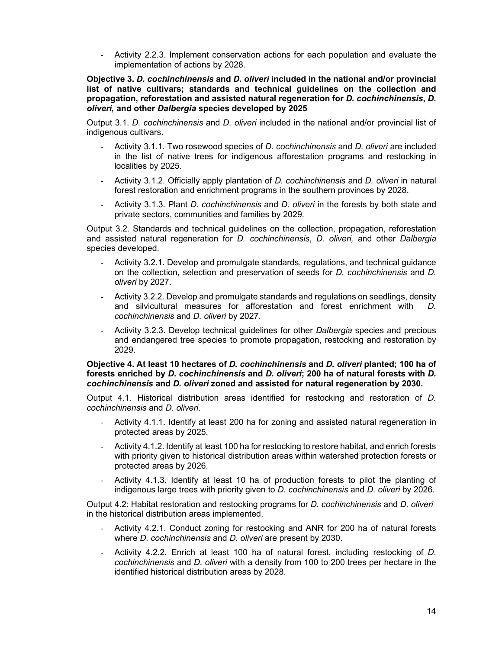- Activity 2.2.3. Implement conservation actions for each population and evaluate the implementation of actions by 2028.

**Objective 3.** *D. cochinchinensis* **and** *D. oliveri* **included in the national and/or provincial list of native cultivars; standards and technical guidelines on the collection and propagation, reforestation and assisted natural regeneration for** *D. cochinchinensis***,** *D. oliveri,* **and other** *Dalbergia* **species developed by 2025** 

Output 3.1. *D. cochinchinensis* and *D. oliveri* included in the national and/or provincial list of indigenous cultivars.

- Activity 3.1.1. Two rosewood species of *D. cochinchinensis* and *D. oliveri* are included in the list of native trees for indigenous afforestation programs and restocking in localities by 2025.
- Activity 3.1.2. Officially apply plantation of *D. cochinchinensis* and *D. oliveri* in natural forest restoration and enrichment programs in the southern provinces by 2028.
- Activity 3.1.3. Plant *D. cochinchinensis* and *D. oliveri* in the forests by both state and private sectors, communities and families by 2029.

Output 3.2. Standards and technical guidelines on the collection, propagation, reforestation and assisted natural regeneration for *D. cochinchinensis*, *D. oliveri,* and other *Dalbergia*  species developed.

- Activity 3.2.1. Develop and promulgate standards, regulations, and technical guidance on the collection, selection and preservation of seeds for *D. cochinchinensis* and *D. oliveri* by 2027.
- Activity 3.2.2. Develop and promulgate standards and regulations on seedlings, density and silvicultural measures for afforestation and forest enrichment with *D. cochinchinensis* and *D. oliveri* by 2027.
- Activity 3.2.3. Develop technical guidelines for other *Dalbergia* species and precious and endangered tree species to promote propagation, restocking and restoration by 2029.

#### **Objective 4. At least 10 hectares of** *D. cochinchinensis* **and** *D. oliveri* **planted; 100 ha of forests enriched by** *D. cochinchinensis* **and** *D. oliveri***; 200 ha of natural forests with** *D. cochinchinensis* **and** *D. oliveri* **zoned and assisted for natural regeneration by 2030.**

Output 4.1. Historical distribution areas identified for restocking and restoration of *D. cochinchinensis* and *D. oliveri*.

- Activity 4.1.1. Identify at least 200 ha for zoning and assisted natural regeneration in protected areas by 2025.
- Activity 4.1.2. Identify at least 100 ha for restocking to restore habitat, and enrich forests with priority given to historical distribution areas within watershed protection forests or protected areas by 2026.
- Activity 4.1.3. Identify at least 10 ha of production forests to pilot the planting of indigenous large trees with priority given to *D. cochinchinensis* and *D. oliveri* by 2026.

Output 4.2: Habitat restoration and restocking programs for *D. cochinchinensis* and *D. oliveri* in the historical distribution areas implemented.

- Activity 4.2.1. Conduct zoning for restocking and ANR for 200 ha of natural forests where *D. cochinchinensis* and *D. oliveri* are present by 2030.
- Activity 4.2.2. Enrich at least 100 ha of natural forest, including restocking of *D. cochinchinensis* and *D. oliveri* with a density from 100 to 200 trees per hectare in the identified historical distribution areas by 2028.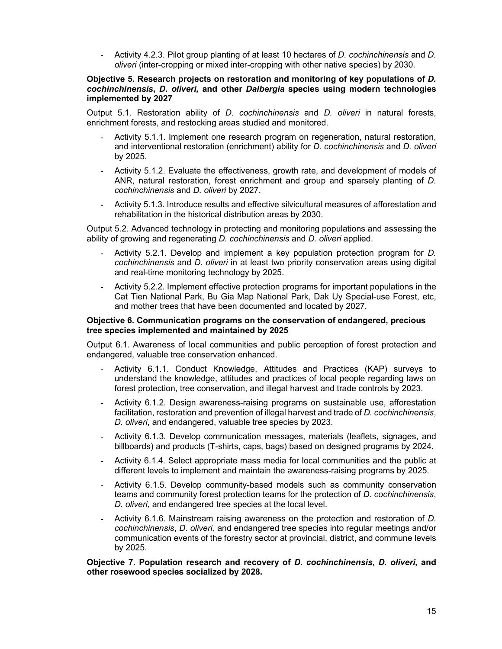- Activity 4.2.3. Pilot group planting of at least 10 hectares of *D. cochinchinensis* and *D. oliveri* (inter-cropping or mixed inter-cropping with other native species) by 2030.

#### **Objective 5. Research projects on restoration and monitoring of key populations of** *D. cochinchinensis***,** *D. oliveri,* **and other** *Dalbergia* **species using modern technologies implemented by 2027**

Output 5.1. Restoration ability of *D. cochinchinensis* and *D. oliveri* in natural forests, enrichment forests, and restocking areas studied and monitored.

- Activity 5.1.1. Implement one research program on regeneration, natural restoration, and interventional restoration (enrichment) ability for *D. cochinchinensis* and *D. oliveri* by 2025.
- Activity 5.1.2. Evaluate the effectiveness, growth rate, and development of models of ANR, natural restoration, forest enrichment and group and sparsely planting of *D. cochinchinensis* and *D. oliveri* by 2027.
- Activity 5.1.3. Introduce results and effective silvicultural measures of afforestation and rehabilitation in the historical distribution areas by 2030.

Output 5.2. Advanced technology in protecting and monitoring populations and assessing the ability of growing and regenerating *D. cochinchinensis* and *D. oliveri* applied.

- Activity 5.2.1. Develop and implement a key population protection program for *D. cochinchinensis* and *D. oliveri* in at least two priority conservation areas using digital and real-time monitoring technology by 2025.
- Activity 5.2.2. Implement effective protection programs for important populations in the Cat Tien National Park, Bu Gia Map National Park, Dak Uy Special-use Forest, etc, and mother trees that have been documented and located by 2027.

#### **Objective 6. Communication programs on the conservation of endangered, precious tree species implemented and maintained by 2025**

Output 6.1. Awareness of local communities and public perception of forest protection and endangered, valuable tree conservation enhanced.

- Activity 6.1.1. Conduct Knowledge, Attitudes and Practices (KAP) surveys to understand the knowledge, attitudes and practices of local people regarding laws on forest protection, tree conservation, and illegal harvest and trade controls by 2023.
- Activity 6.1.2. Design awareness-raising programs on sustainable use, afforestation facilitation, restoration and prevention of illegal harvest and trade of *D. cochinchinensis*, *D. oliveri*, and endangered, valuable tree species by 2023.
- Activity 6.1.3. Develop communication messages, materials (leaflets, signages, and billboards) and products (T-shirts, caps, bags) based on designed programs by 2024.
- Activity 6.1.4. Select appropriate mass media for local communities and the public at different levels to implement and maintain the awareness-raising programs by 2025.
- Activity 6.1.5. Develop community-based models such as community conservation teams and community forest protection teams for the protection of *D. cochinchinensis*, *D. oliveri,* and endangered tree species at the local level.
- Activity 6.1.6. Mainstream raising awareness on the protection and restoration of *D. cochinchinensis*, *D. oliveri,* and endangered tree species into regular meetings and/or communication events of the forestry sector at provincial, district, and commune levels by 2025.

**Objective 7. Population research and recovery of** *D. cochinchinensis***,** *D. oliveri,* **and other rosewood species socialized by 2028.**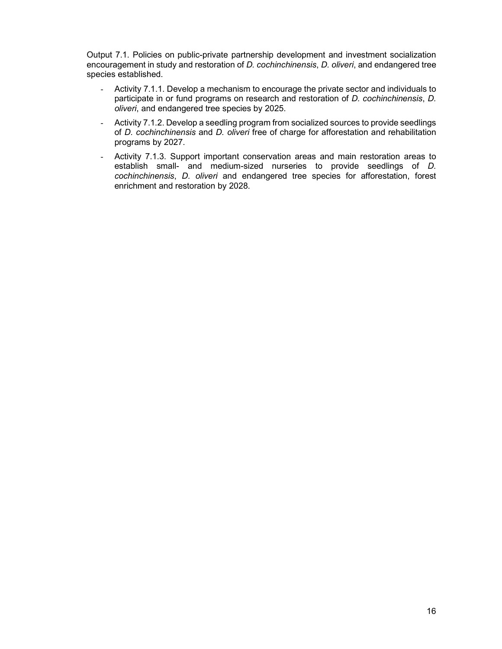Output 7.1. Policies on public-private partnership development and investment socialization encouragement in study and restoration of *D. cochinchinensis*, *D. oliveri*, and endangered tree species established.

- Activity 7.1.1. Develop a mechanism to encourage the private sector and individuals to participate in or fund programs on research and restoration of *D. cochinchinensis*, *D. oliveri*, and endangered tree species by 2025.
- Activity 7.1.2. Develop a seedling program from socialized sources to provide seedlings of *D. cochinchinensis* and *D. oliveri* free of charge for afforestation and rehabilitation programs by 2027.
- Activity 7.1.3. Support important conservation areas and main restoration areas to establish small- and medium-sized nurseries to provide seedlings of *D. cochinchinensis*, *D. oliveri* and endangered tree species for afforestation, forest enrichment and restoration by 2028.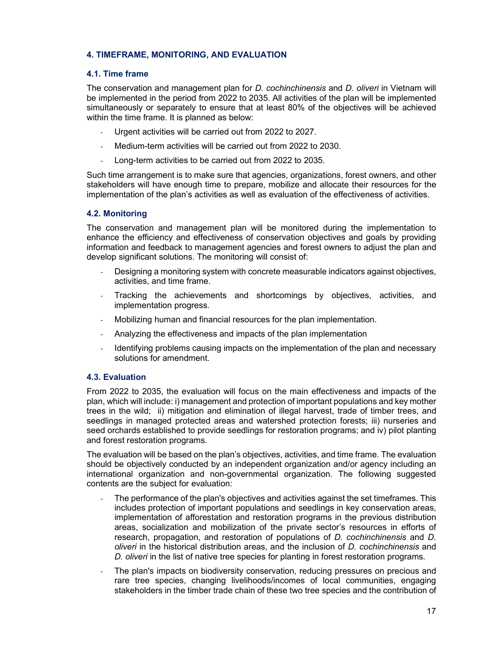## **4. TIMEFRAME, MONITORING, AND EVALUATION**

#### **4.1. Time frame**

The conservation and management plan for *D. cochinchinensis* and *D. oliveri* in Vietnam will be implemented in the period from 2022 to 2035. All activities of the plan will be implemented simultaneously or separately to ensure that at least 80% of the objectives will be achieved within the time frame. It is planned as below:

- Urgent activities will be carried out from 2022 to 2027.
- Medium-term activities will be carried out from 2022 to 2030.
- Long-term activities to be carried out from 2022 to 2035.

Such time arrangement is to make sure that agencies, organizations, forest owners, and other stakeholders will have enough time to prepare, mobilize and allocate their resources for the implementation of the plan's activities as well as evaluation of the effectiveness of activities.

## **4.2. Monitoring**

The conservation and management plan will be monitored during the implementation to enhance the efficiency and effectiveness of conservation objectives and goals by providing information and feedback to management agencies and forest owners to adjust the plan and develop significant solutions. The monitoring will consist of:

- Designing a monitoring system with concrete measurable indicators against objectives, activities, and time frame.
- Tracking the achievements and shortcomings by objectives, activities, and implementation progress.
- Mobilizing human and financial resources for the plan implementation.
- Analyzing the effectiveness and impacts of the plan implementation
- Identifying problems causing impacts on the implementation of the plan and necessary solutions for amendment.

## **4.3. Evaluation**

From 2022 to 2035, the evaluation will focus on the main effectiveness and impacts of the plan, which will include: i) management and protection of important populations and key mother trees in the wild; ii) mitigation and elimination of illegal harvest, trade of timber trees, and seedlings in managed protected areas and watershed protection forests; iii) nurseries and seed orchards established to provide seedlings for restoration programs; and iv) pilot planting and forest restoration programs.

The evaluation will be based on the plan's objectives, activities, and time frame. The evaluation should be objectively conducted by an independent organization and/or agency including an international organization and non-governmental organization. The following suggested contents are the subject for evaluation:

- The performance of the plan's objectives and activities against the set timeframes. This includes protection of important populations and seedlings in key conservation areas, implementation of afforestation and restoration programs in the previous distribution areas, socialization and mobilization of the private sector's resources in efforts of research, propagation, and restoration of populations of *D. cochinchinensis* and *D. oliveri* in the historical distribution areas, and the inclusion of *D. cochinchinensis* and *D. oliveri* in the list of native tree species for planting in forest restoration programs.
- The plan's impacts on biodiversity conservation, reducing pressures on precious and rare tree species, changing livelihoods/incomes of local communities, engaging stakeholders in the timber trade chain of these two tree species and the contribution of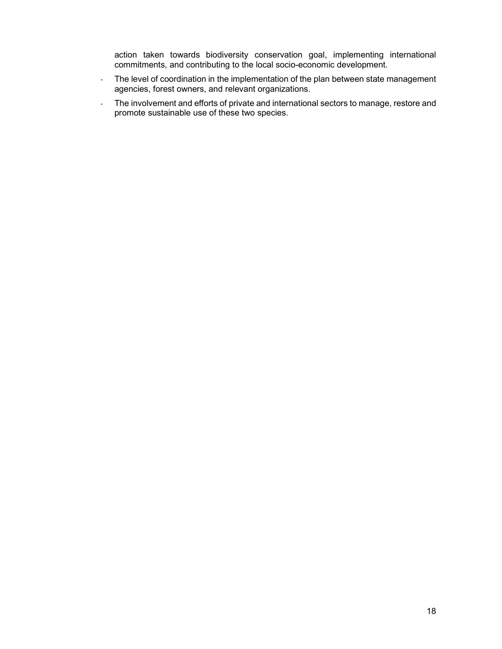action taken towards biodiversity conservation goal, implementing international commitments, and contributing to the local socio-economic development.

- The level of coordination in the implementation of the plan between state management agencies, forest owners, and relevant organizations.
- The involvement and efforts of private and international sectors to manage, restore and promote sustainable use of these two species.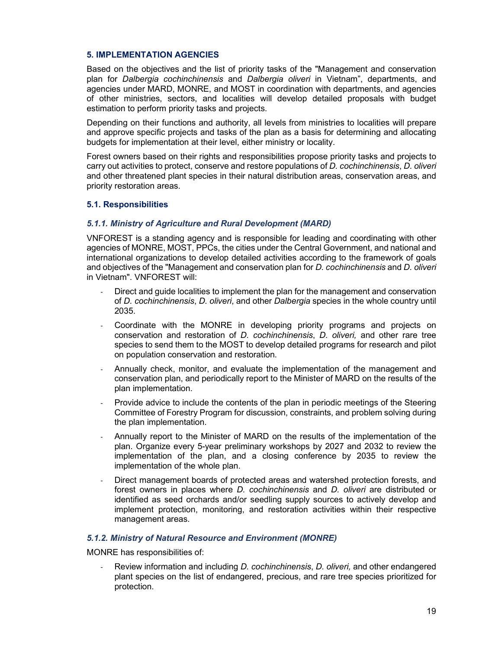#### **5. IMPLEMENTATION AGENCIES**

Based on the objectives and the list of priority tasks of the "Management and conservation plan for *Dalbergia cochinchinensis* and *Dalbergia oliveri* in Vietnam", departments, and agencies under MARD, MONRE, and MOST in coordination with departments, and agencies of other ministries, sectors, and localities will develop detailed proposals with budget estimation to perform priority tasks and projects.

Depending on their functions and authority, all levels from ministries to localities will prepare and approve specific projects and tasks of the plan as a basis for determining and allocating budgets for implementation at their level, either ministry or locality.

Forest owners based on their rights and responsibilities propose priority tasks and projects to carry out activities to protect, conserve and restore populations of *D. cochinchinensis*, *D. oliveri* and other threatened plant species in their natural distribution areas, conservation areas, and priority restoration areas.

#### **5.1. Responsibilities**

#### *5.1.1. Ministry of Agriculture and Rural Development (MARD)*

VNFOREST is a standing agency and is responsible for leading and coordinating with other agencies of MONRE, MOST, PPCs, the cities under the Central Government, and national and international organizations to develop detailed activities according to the framework of goals and objectives of the "Management and conservation plan for *D. cochinchinensis* and *D. oliveri* in Vietnam". VNFOREST will:

- Direct and guide localities to implement the plan for the management and conservation of *D. cochinchinensis*, *D. oliveri*, and other *Dalbergia* species in the whole country until 2035.
- Coordinate with the MONRE in developing priority programs and projects on conservation and restoration of *D. cochinchinensis*, *D. oliveri,* and other rare tree species to send them to the MOST to develop detailed programs for research and pilot on population conservation and restoration.
- Annually check, monitor, and evaluate the implementation of the management and conservation plan, and periodically report to the Minister of MARD on the results of the plan implementation.
- Provide advice to include the contents of the plan in periodic meetings of the Steering Committee of Forestry Program for discussion, constraints, and problem solving during the plan implementation.
- Annually report to the Minister of MARD on the results of the implementation of the plan. Organize every 5-year preliminary workshops by 2027 and 2032 to review the implementation of the plan, and a closing conference by 2035 to review the implementation of the whole plan.
- Direct management boards of protected areas and watershed protection forests, and forest owners in places where *D. cochinchinensis* and *D. oliveri* are distributed or identified as seed orchards and/or seedling supply sources to actively develop and implement protection, monitoring, and restoration activities within their respective management areas.

## *5.1.2. Ministry of Natural Resource and Environment (MONRE)*

MONRE has responsibilities of:

- Review information and including *D. cochinchinensis*, *D. oliveri,* and other endangered plant species on the list of endangered, precious, and rare tree species prioritized for protection.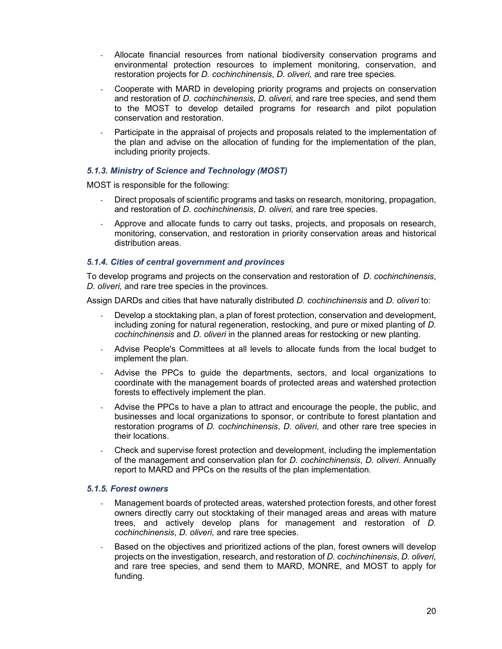- Allocate financial resources from national biodiversity conservation programs and environmental protection resources to implement monitoring, conservation, and restoration projects for *D. cochinchinensis*, *D. oliveri,* and rare tree species.
- Cooperate with MARD in developing priority programs and projects on conservation and restoration of *D. cochinchinensis*, *D. oliveri,* and rare tree species, and send them to the MOST to develop detailed programs for research and pilot population conservation and restoration.
- Participate in the appraisal of projects and proposals related to the implementation of the plan and advise on the allocation of funding for the implementation of the plan, including priority projects.

## *5.1.3. Ministry of Science and Technology (MOST)*

MOST is responsible for the following:

- Direct proposals of scientific programs and tasks on research, monitoring, propagation, and restoration of *D. cochinchinensis*, *D. oliveri,* and rare tree species.
- Approve and allocate funds to carry out tasks, projects, and proposals on research, monitoring, conservation, and restoration in priority conservation areas and historical distribution areas.

## *5.1.4. Cities of central government and provinces*

To develop programs and projects on the conservation and restoration of *D. cochinchinensis*, *D. oliveri,* and rare tree species in the provinces.

Assign DARDs and cities that have naturally distributed *D. cochinchinensis* and *D. oliveri* to:

- Develop a stocktaking plan, a plan of forest protection, conservation and development, including zoning for natural regeneration, restocking, and pure or mixed planting of *D. cochinchinensis* and *D. oliveri* in the planned areas for restocking or new planting.
- Advise People's Committees at all levels to allocate funds from the local budget to implement the plan.
- Advise the PPCs to guide the departments, sectors, and local organizations to coordinate with the management boards of protected areas and watershed protection forests to effectively implement the plan.
- Advise the PPCs to have a plan to attract and encourage the people, the public, and businesses and local organizations to sponsor, or contribute to forest plantation and restoration programs of *D. cochinchinensis*, *D. oliveri,* and other rare tree species in their locations.
- Check and supervise forest protection and development, including the implementation of the management and conservation plan for *D. cochinchinensis*, *D. oliveri*. Annually report to MARD and PPCs on the results of the plan implementation.

#### *5.1.5. Forest owners*

- Management boards of protected areas, watershed protection forests, and other forest owners directly carry out stocktaking of their managed areas and areas with mature trees, and actively develop plans for management and restoration of *D. cochinchinensis*, *D. oliveri,* and rare tree species.
- Based on the objectives and prioritized actions of the plan, forest owners will develop projects on the investigation, research, and restoration of *D. cochinchinensis*, *D. oliveri,* and rare tree species, and send them to MARD, MONRE, and MOST to apply for funding.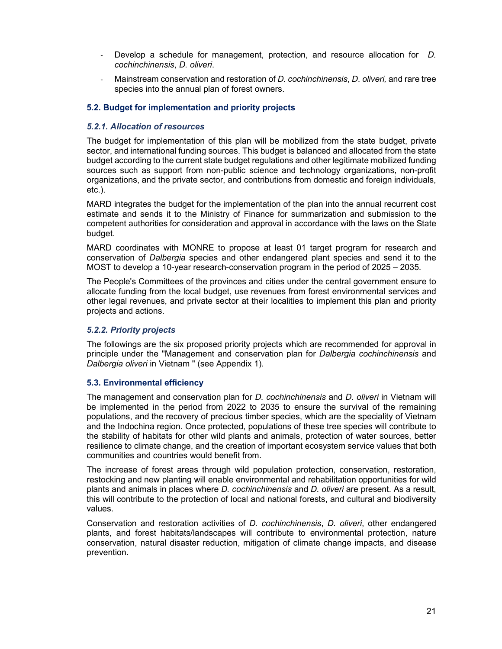- Develop a schedule for management, protection, and resource allocation for *D. cochinchinensis*, *D. oliveri*.
- Mainstream conservation and restoration of *D. cochinchinensis*, *D. oliveri,* and rare tree species into the annual plan of forest owners.

#### **5.2. Budget for implementation and priority projects**

## *5.2.1. Allocation of resources*

The budget for implementation of this plan will be mobilized from the state budget, private sector, and international funding sources. This budget is balanced and allocated from the state budget according to the current state budget regulations and other legitimate mobilized funding sources such as support from non-public science and technology organizations, non-profit organizations, and the private sector, and contributions from domestic and foreign individuals, etc.).

MARD integrates the budget for the implementation of the plan into the annual recurrent cost estimate and sends it to the Ministry of Finance for summarization and submission to the competent authorities for consideration and approval in accordance with the laws on the State budget.

MARD coordinates with MONRE to propose at least 01 target program for research and conservation of *Dalbergia* species and other endangered plant species and send it to the MOST to develop a 10-year research-conservation program in the period of 2025 – 2035.

The People's Committees of the provinces and cities under the central government ensure to allocate funding from the local budget, use revenues from forest environmental services and other legal revenues, and private sector at their localities to implement this plan and priority projects and actions.

## *5.2.2. Priority projects*

The followings are the six proposed priority projects which are recommended for approval in principle under the "Management and conservation plan for *Dalbergia cochinchinensis* and *Dalbergia oliveri* in Vietnam " (see Appendix 1).

#### **5.3. Environmental efficiency**

The management and conservation plan for *D. cochinchinensis* and *D. oliveri* in Vietnam will be implemented in the period from 2022 to 2035 to ensure the survival of the remaining populations, and the recovery of precious timber species, which are the speciality of Vietnam and the Indochina region. Once protected, populations of these tree species will contribute to the stability of habitats for other wild plants and animals, protection of water sources, better resilience to climate change, and the creation of important ecosystem service values that both communities and countries would benefit from.

The increase of forest areas through wild population protection, conservation, restoration, restocking and new planting will enable environmental and rehabilitation opportunities for wild plants and animals in places where *D. cochinchinensis* and *D. oliveri* are present. As a result, this will contribute to the protection of local and national forests, and cultural and biodiversity values.

Conservation and restoration activities of *D. cochinchinensis*, *D. oliveri*, other endangered plants, and forest habitats/landscapes will contribute to environmental protection, nature conservation, natural disaster reduction, mitigation of climate change impacts, and disease prevention.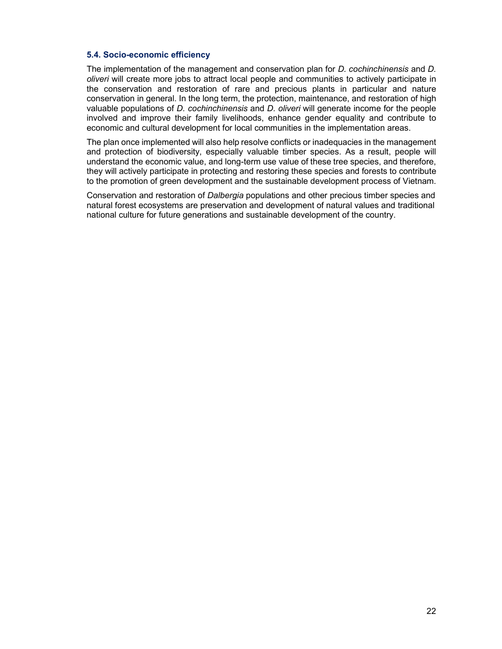## **5.4. Socio-economic efficiency**

The implementation of the management and conservation plan for *D. cochinchinensis* and *D. oliveri* will create more jobs to attract local people and communities to actively participate in the conservation and restoration of rare and precious plants in particular and nature conservation in general. In the long term, the protection, maintenance, and restoration of high valuable populations of *D. cochinchinensis* and *D. oliveri* will generate income for the people involved and improve their family livelihoods, enhance gender equality and contribute to economic and cultural development for local communities in the implementation areas.

The plan once implemented will also help resolve conflicts or inadequacies in the management and protection of biodiversity, especially valuable timber species. As a result, people will understand the economic value, and long-term use value of these tree species, and therefore, they will actively participate in protecting and restoring these species and forests to contribute to the promotion of green development and the sustainable development process of Vietnam.

Conservation and restoration of *Dalbergia* populations and other precious timber species and natural forest ecosystems are preservation and development of natural values and traditional national culture for future generations and sustainable development of the country.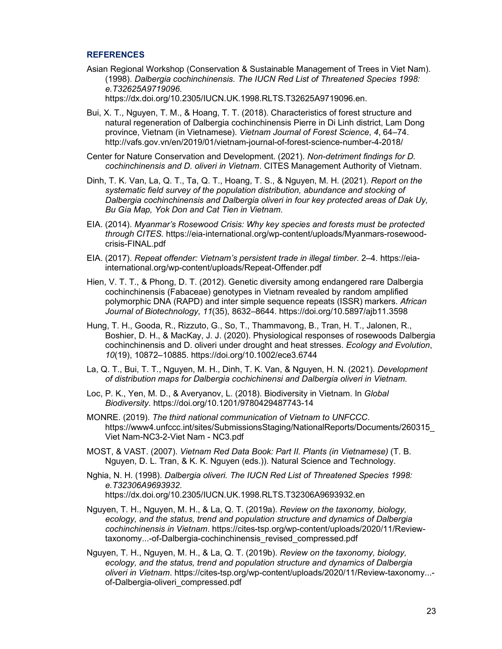#### **REFERENCES**

Asian Regional Workshop (Conservation & Sustainable Management of Trees in Viet Nam). (1998). *Dalbergia cochinchinensis. The IUCN Red List of Threatened Species 1998: e.T32625A9719096*.

https://dx.doi.org/10.2305/IUCN.UK.1998.RLTS.T32625A9719096.en.

- Bui, X. T., Nguyen, T. M., & Hoang, T. T. (2018). Characteristics of forest structure and natural regeneration of Dalbergia cochinchinensis Pierre in Di Linh district, Lam Dong province, Vietnam (in Vietnamese). *Vietnam Journal of Forest Science*, *4*, 64–74. http://vafs.gov.vn/en/2019/01/vietnam-journal-of-forest-science-number-4-2018/
- Center for Nature Conservation and Development. (2021). *Non-detriment findings for D. cochinchinensis and D. oliveri in Vietnam*. CITES Management Authority of Vietnam.
- Dinh, T. K. Van, La, Q. T., Ta, Q. T., Hoang, T. S., & Nguyen, M. H. (2021). *Report on the systematic field survey of the population distribution, abundance and stocking of Dalbergia cochinchinensis and Dalbergia oliveri in four key protected areas of Dak Uy, Bu Gia Map, Yok Don and Cat Tien in Vietnam*.
- EIA. (2014). *Myanmar's Rosewood Crisis: Why key species and forests must be protected through CITES*. https://eia-international.org/wp-content/uploads/Myanmars-rosewoodcrisis-FINAL.pdf
- EIA. (2017). *Repeat offender: Vietnam's persistent trade in illegal timber*. 2–4. https://eiainternational.org/wp-content/uploads/Repeat-Offender.pdf
- Hien, V. T. T., & Phong, D. T. (2012). Genetic diversity among endangered rare Dalbergia cochinchinensis (Fabaceae) genotypes in Vietnam revealed by random amplified polymorphic DNA (RAPD) and inter simple sequence repeats (ISSR) markers. *African Journal of Biotechnology*, *11*(35), 8632–8644. https://doi.org/10.5897/ajb11.3598
- Hung, T. H., Gooda, R., Rizzuto, G., So, T., Thammavong, B., Tran, H. T., Jalonen, R., Boshier, D. H., & MacKay, J. J. (2020). Physiological responses of rosewoods Dalbergia cochinchinensis and D. oliveri under drought and heat stresses. *Ecology and Evolution*, *10*(19), 10872–10885. https://doi.org/10.1002/ece3.6744
- La, Q. T., Bui, T. T., Nguyen, M. H., Dinh, T. K. Van, & Nguyen, H. N. (2021). *Development of distribution maps for Dalbergia cochichinensi and Dalbergia oliveri in Vietnam*.
- Loc, P. K., Yen, M. D., & Averyanov, L. (2018). Biodiversity in Vietnam. In *Global Biodiversity*. https://doi.org/10.1201/9780429487743-14
- MONRE. (2019). *The third national communication of Vietnam to UNFCCC*. https://www4.unfccc.int/sites/SubmissionsStaging/NationalReports/Documents/260315\_ Viet Nam-NC3-2-Viet Nam - NC3.pdf
- MOST, & VAST. (2007). *Vietnam Red Data Book: Part II. Plants (in Vietnamese)* (T. B. Nguyen, D. L. Tran, & K. K. Nguyen (eds.)). Natural Science and Technology.
- Nghia, N. H. (1998). *Dalbergia oliveri. The IUCN Red List of Threatened Species 1998: e.T32306A9693932*. https://dx.doi.org/10.2305/IUCN.UK.1998.RLTS.T32306A9693932.en
- Nguyen, T. H., Nguyen, M. H., & La, Q. T. (2019a). *Review on the taxonomy, biology, ecology, and the status, trend and population structure and dynamics of Dalbergia cochinchinensis in Vietnam*. https://cites-tsp.org/wp-content/uploads/2020/11/Reviewtaxonomy...-of-Dalbergia-cochinchinensis\_revised\_compressed.pdf
- Nguyen, T. H., Nguyen, M. H., & La, Q. T. (2019b). *Review on the taxonomy, biology, ecology, and the status, trend and population structure and dynamics of Dalbergia oliveri in Vietnam*. https://cites-tsp.org/wp-content/uploads/2020/11/Review-taxonomy... of-Dalbergia-oliveri\_compressed.pdf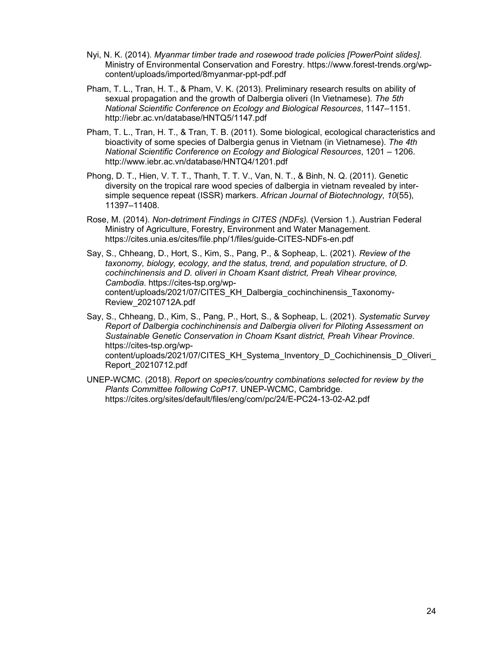- Nyi, N. K. (2014). *Myanmar timber trade and rosewood trade policies [PowerPoint slides]*. Ministry of Environmental Conservation and Forestry. https://www.forest-trends.org/wpcontent/uploads/imported/8myanmar-ppt-pdf.pdf
- Pham, T. L., Tran, H. T., & Pham, V. K. (2013). Preliminary research results on ability of sexual propagation and the growth of Dalbergia oliveri (In Vietnamese). *The 5th National Scientific Conference on Ecology and Biological Resources*, 1147–1151. http://iebr.ac.vn/database/HNTQ5/1147.pdf
- Pham, T. L., Tran, H. T., & Tran, T. B. (2011). Some biological, ecological characteristics and bioactivity of some species of Dalbergia genus in Vietnam (in Vietnamese). *The 4th National Scientific Conference on Ecology and Biological Resources*, 1201 – 1206. http://www.iebr.ac.vn/database/HNTQ4/1201.pdf
- Phong, D. T., Hien, V. T. T., Thanh, T. T. V., Van, N. T., & Binh, N. Q. (2011). Genetic diversity on the tropical rare wood species of dalbergia in vietnam revealed by intersimple sequence repeat (ISSR) markers. *African Journal of Biotechnology*, *10*(55), 11397–11408.
- Rose, M. (2014). *Non-detriment Findings in CITES (NDFs).* (Version 1.). Austrian Federal Ministry of Agriculture, Forestry, Environment and Water Management. https://cites.unia.es/cites/file.php/1/files/guide-CITES-NDFs-en.pdf
- Say, S., Chheang, D., Hort, S., Kim, S., Pang, P., & Sopheap, L. (2021). *Review of the taxonomy, biology, ecology, and the status, trend, and population structure, of D. cochinchinensis and D. oliveri in Choam Ksant district, Preah Vihear province, Cambodia*. https://cites-tsp.org/wpcontent/uploads/2021/07/CITES\_KH\_Dalbergia\_cochinchinensis\_Taxonomy-Review\_20210712A.pdf
- Say, S., Chheang, D., Kim, S., Pang, P., Hort, S., & Sopheap, L. (2021). *Systematic Survey Report of Dalbergia cochinchinensis and Dalbergia oliveri for Piloting Assessment on Sustainable Genetic Conservation in Choam Ksant district, Preah Vihear Province*. https://cites-tsp.org/wpcontent/uploads/2021/07/CITES\_KH\_Systema\_Inventory\_D\_Cochichinensis\_D\_Oliveri Report\_20210712.pdf
- UNEP-WCMC. (2018). *Report on species/country combinations selected for review by the Plants Committee following CoP17.* UNEP-WCMC, Cambridge. https://cites.org/sites/default/files/eng/com/pc/24/E-PC24-13-02-A2.pdf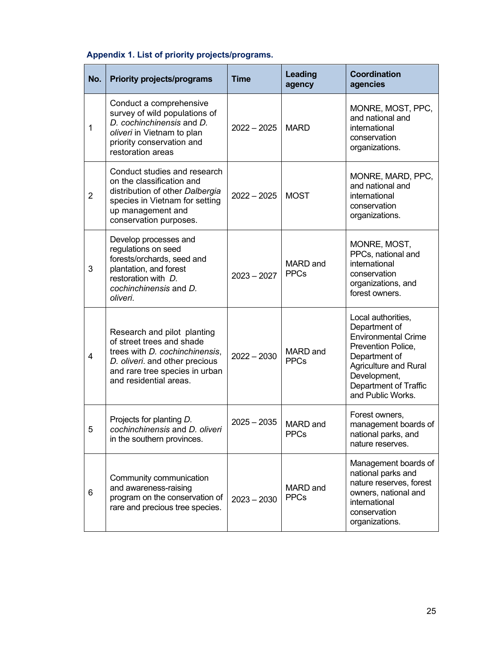| Appendix 1. List of priority projects/programs. |  |  |  |  |  |  |
|-------------------------------------------------|--|--|--|--|--|--|
|-------------------------------------------------|--|--|--|--|--|--|

| No.            | <b>Priority projects/programs</b>                                                                                                                                                        | <b>Time</b>   | Leading<br>agency              | <b>Coordination</b><br>agencies                                                                                                                                                                        |
|----------------|------------------------------------------------------------------------------------------------------------------------------------------------------------------------------------------|---------------|--------------------------------|--------------------------------------------------------------------------------------------------------------------------------------------------------------------------------------------------------|
| 1              | Conduct a comprehensive<br>survey of wild populations of<br>D. cochinchinensis and D.<br>oliveri in Vietnam to plan<br>priority conservation and<br>restoration areas                    | $2022 - 2025$ | <b>MARD</b>                    | MONRE, MOST, PPC,<br>and national and<br>international<br>conservation<br>organizations.                                                                                                               |
| $\overline{2}$ | Conduct studies and research<br>on the classification and<br>distribution of other Dalbergia<br>species in Vietnam for setting<br>up management and<br>conservation purposes.            | $2022 - 2025$ | <b>MOST</b>                    | MONRE, MARD, PPC,<br>and national and<br>international<br>conservation<br>organizations.                                                                                                               |
| 3              | Develop processes and<br>regulations on seed<br>forests/orchards, seed and<br>plantation, and forest<br>restoration with D.<br>cochinchinensis and D.<br>oliveri.                        | $2023 - 2027$ | <b>MARD</b> and<br><b>PPCs</b> | MONRE, MOST,<br>PPCs, national and<br>international<br>conservation<br>organizations, and<br>forest owners.                                                                                            |
| 4              | Research and pilot planting<br>of street trees and shade<br>trees with D. cochinchinensis,<br>D. oliveri. and other precious<br>and rare tree species in urban<br>and residential areas. | $2022 - 2030$ | <b>MARD</b> and<br><b>PPCs</b> | Local authorities,<br>Department of<br><b>Environmental Crime</b><br>Prevention Police,<br>Department of<br><b>Agriculture and Rural</b><br>Development,<br>Department of Traffic<br>and Public Works. |
| 5              | Projects for planting D.<br>cochinchinensis and D. oliveri<br>in the southern provinces.                                                                                                 | $2025 - 2035$ | MARD and<br><b>PPCs</b>        | Forest owners,<br>management boards of<br>national parks, and<br>nature reserves.                                                                                                                      |
| 6              | Community communication<br>and awareness-raising<br>program on the conservation of<br>rare and precious tree species.                                                                    | $2023 - 2030$ | MARD and<br><b>PPCs</b>        | Management boards of<br>national parks and<br>nature reserves, forest<br>owners, national and<br>international<br>conservation<br>organizations.                                                       |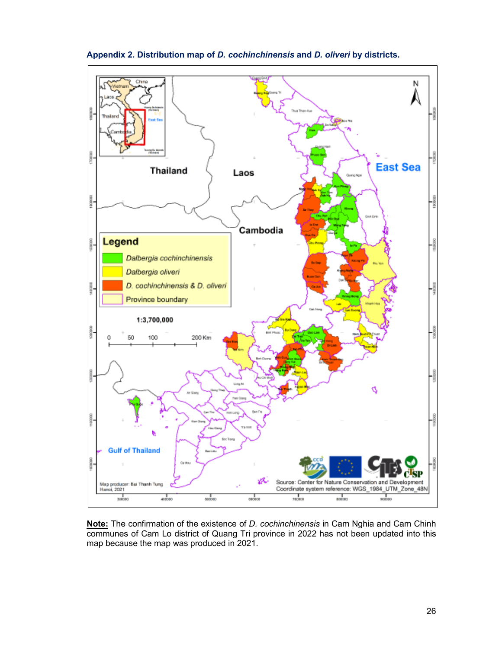

**Appendix 2. Distribution map of** *D. cochinchinensis* **and** *D. oliveri* **by districts.** 

**Note:** The confirmation of the existence of *D. cochinchinensis* in Cam Nghia and Cam Chinh communes of Cam Lo district of Quang Tri province in 2022 has not been updated into this map because the map was produced in 2021.